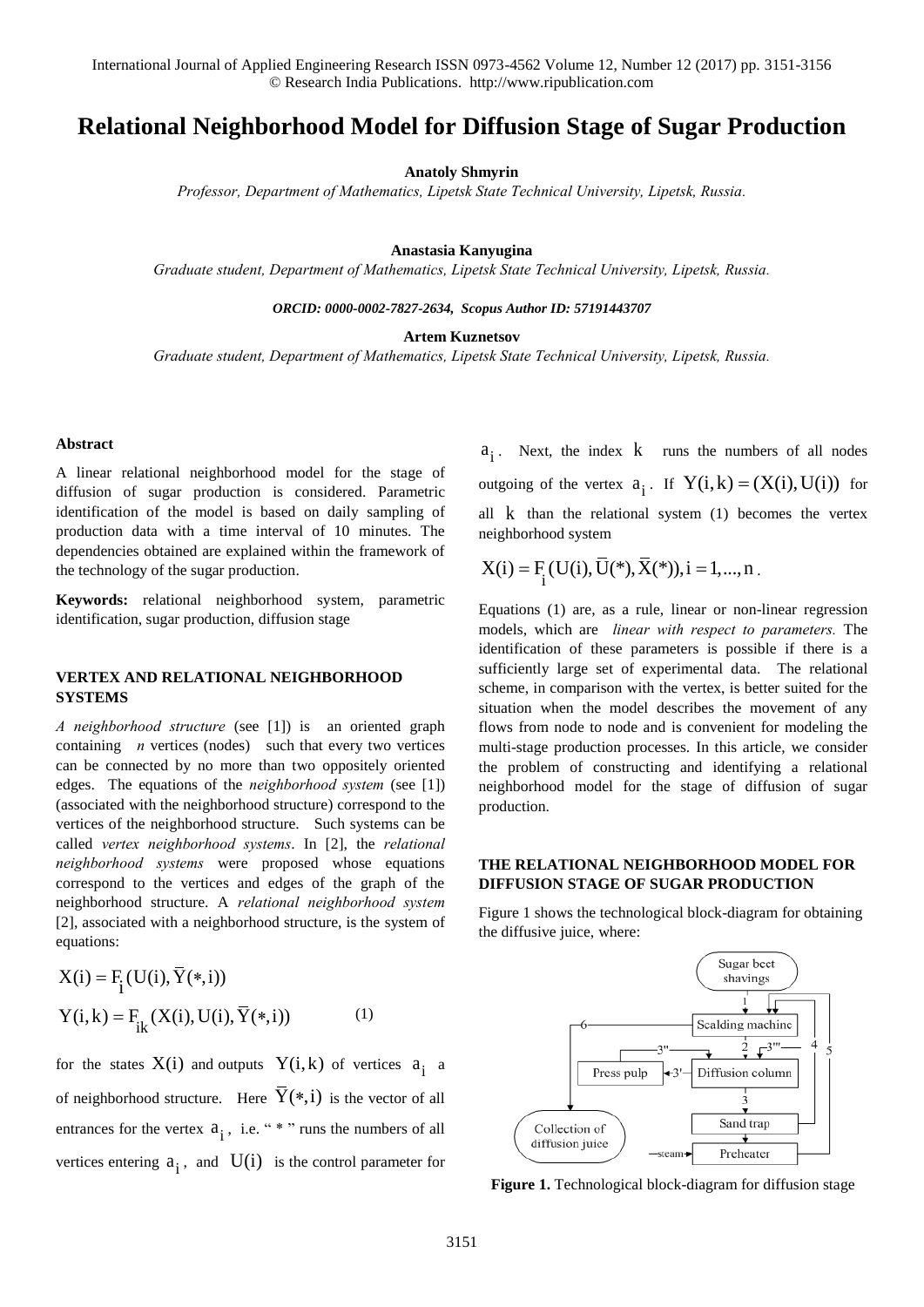International Journal of Applied Engineering Research ISSN 0973-4562 Volume 12, Number 12 (2017) pp. 3151-3156 © Research India Publications. http://www.ripublication.com

# **Relational Neighborhood Model for Diffusion Stage of Sugar Production**

**Anatoly Shmyrin** 

*Professor, Department of Mathematics, Lipetsk State Technical University, Lipetsk, Russia.* 

**Anastasia Kanyugina** 

*Graduate student, Department of Mathematics, Lipetsk State Technical University, Lipetsk, Russia.* 

*ORCID: 0000-0002-7827-2634, Scopus Author ID: 57191443707* 

**Artem Kuznetsov** 

*Graduate student, Department of Mathematics, Lipetsk State Technical University, Lipetsk, Russia.* 

#### **Abstract**

A linear relational neighborhood model for the stage of diffusion of sugar production is considered. Parametric identification of the model is based on daily sampling of production data with a time interval of 10 minutes. The dependencies obtained are explained within the framework of the technology of the sugar production.

**Keywords:** relational neighborhood system, parametric identification, sugar production, diffusion stage

#### **VERTEX AND RELATIONAL NEIGHBORHOOD SYSTEMS**

*A neighborhood structure* (see [1]) is an oriented graph containing *n* vertices (nodes) such that every two vertices can be connected by no more than two oppositely oriented edges. The equations of the *neighborhood system* (see [1]) (associated with the neighborhood structure) correspond to the vertices of the neighborhood structure. Such systems can be called *vertex neighborhood systems*. In [2], the *relational neighborhood systems* were proposed whose equations correspond to the vertices and edges of the graph of the neighborhood structure. A *relational neighborhood system* [2], associated with a neighborhood structure, is the system of equations:

$$
X(i) = F_{i}(U(i), \overline{Y}(*, i))
$$
  
\n
$$
Y(i, k) = F_{ik}(X(i), U(i), \overline{Y}(*, i))
$$
 (1)

for the states  $X(i)$  and outputs  $Y(i,k)$  of vertices  $a_i$  a of neighborhood structure. Here  $\overline{Y}(*,i)$  is the vector of all entrances for the vertex  $a_i$ , i.e. "\*" runs the numbers of all vertices entering  $a_i$ , and  $U(i)$  is the control parameter for

 $a_i$ . Next, the index  $k$  runs the numbers of all nodes outgoing of the vertex  $a_i$ . If  $Y(i,k) = (X(i),U(i))$  for all k than the relational system (1) becomes the vertex neighborhood system

$$
X(i) = F_i(U(i), \overline{U}(*), \overline{X}(*)), i = 1,..., n.
$$

Equations (1) are, as a rule, linear or non-linear regression models, which are *linear with respect to parameters.* The identification of these parameters is possible if there is a sufficiently large set of experimental data. The relational scheme, in comparison with the vertex, is better suited for the situation when the model describes the movement of any flows from node to node and is convenient for modeling the multi-stage production processes. In this article, we consider the problem of constructing and identifying a relational neighborhood model for the stage of diffusion of sugar production.

### **THE RELATIONAL NEIGHBORHOOD MODEL FOR DIFFUSION STAGE OF SUGAR PRODUCTION**

Figure 1 shows the technological block-diagram for obtaining the diffusive juice, where:



**Figure 1.** Technological block-diagram for diffusion stage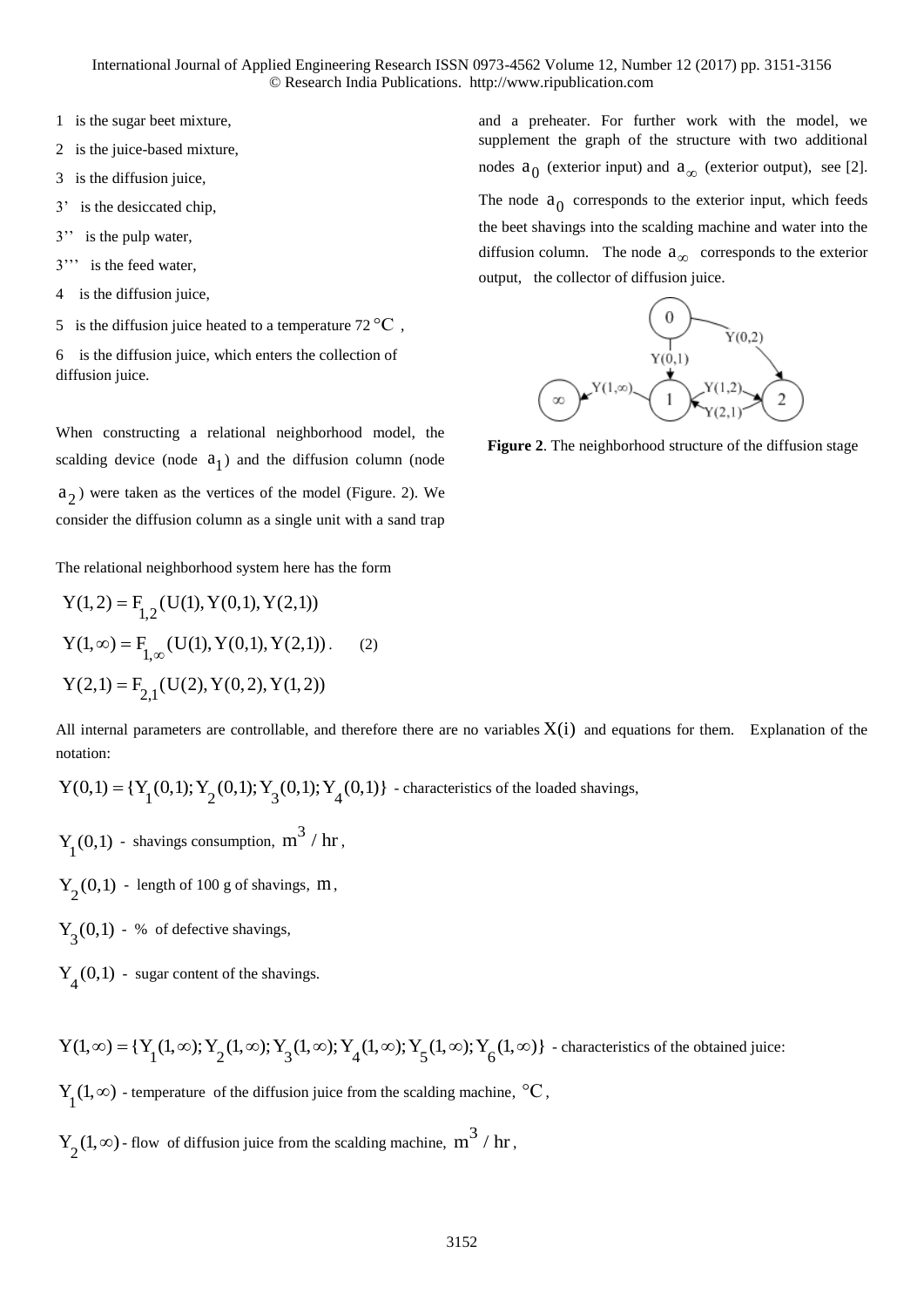International Journal of Applied Engineering Research ISSN 0973-4562 Volume 12, Number 12 (2017) pp. 3151-3156 © Research India Publications. http://www.ripublication.com

- 1 is the sugar beet mixture,
- 2 is the juice-based mixture,
- 3 is the diffusion juice,
- 3' is the desiccated chip,
- 3'' is the pulp water,
- 3''' is the feed water,
- 4 is the diffusion juice,
- 5 is the diffusion juice heated to a temperature 72  $\rm{^{\circ}C}$  ,
- 6 is the diffusion juice, which enters the collection of diffusion juice.

When constructing a relational neighborhood model, the scalding device (node  $a_1$ ) and the diffusion column (node 2 a ) were taken as the vertices of the model (Figure. 2). We consider the diffusion column as a single unit with a sand trap

The relational neighborhood system here has the form

$$
Y(1,2) = F_{1,2}(U(1), Y(0,1), Y(2,1))
$$
  
 
$$
Y(1,\infty) = F_{1,\infty}(U(1), Y(0,1), Y(2,1))
$$
 (2)  
 
$$
Y(2,1) = F_{2,1}(U(2), Y(0,2), Y(1,2))
$$

and a preheater. For further work with the model, we supplement the graph of the structure with two additional nodes  $a_0$  (exterior input) and  $a_\infty$  (exterior output), see [2]. The node  $a_0$  corresponds to the exterior input, which feeds the beet shavings into the scalding machine and water into the diffusion column. The node  $a_{\infty}$  corresponds to the exterior output, the collector of diffusion juice.



**Figure 2**. The neighborhood structure of the diffusion stage

All internal parameters are controllable, and therefore there are no variables  $X(i)$  and equations for them. Explanation of the notation:

notation:  
\n
$$
Y(0,1) = {Y<sub>1</sub>(0,1); Y<sub>2</sub>(0,1); Y<sub>3</sub>(0,1); Y<sub>4</sub>(0,1)} - characteristics of the loaded shavings,
$$

- $Y_1(0,1)$  shavings consumption,  $m^3 / hr$ ,
- $Y_2(0,1)$  length of 100 g of shavings, m,
- $Y_3(0,1)$  % of defective shavings,
- $Y_4(0,1)$  sugar content of the shavings.

$$
Y(1,\infty) = \{Y_1(1,\infty); Y_2(1,\infty); Y_3(1,\infty); Y_4(1,\infty); Y_5(1,\infty); Y_6(1,\infty)\}
$$
 - characteristics of the obtained juice:

 $Y_1(1, \infty)$  - temperature of the diffusion juice from the scalding machine,  $\mathrm{C}$ ,

 $Y_2(1, \infty)$  - flow of diffusion juice from the scalding machine,  $m^3 / hr$ ,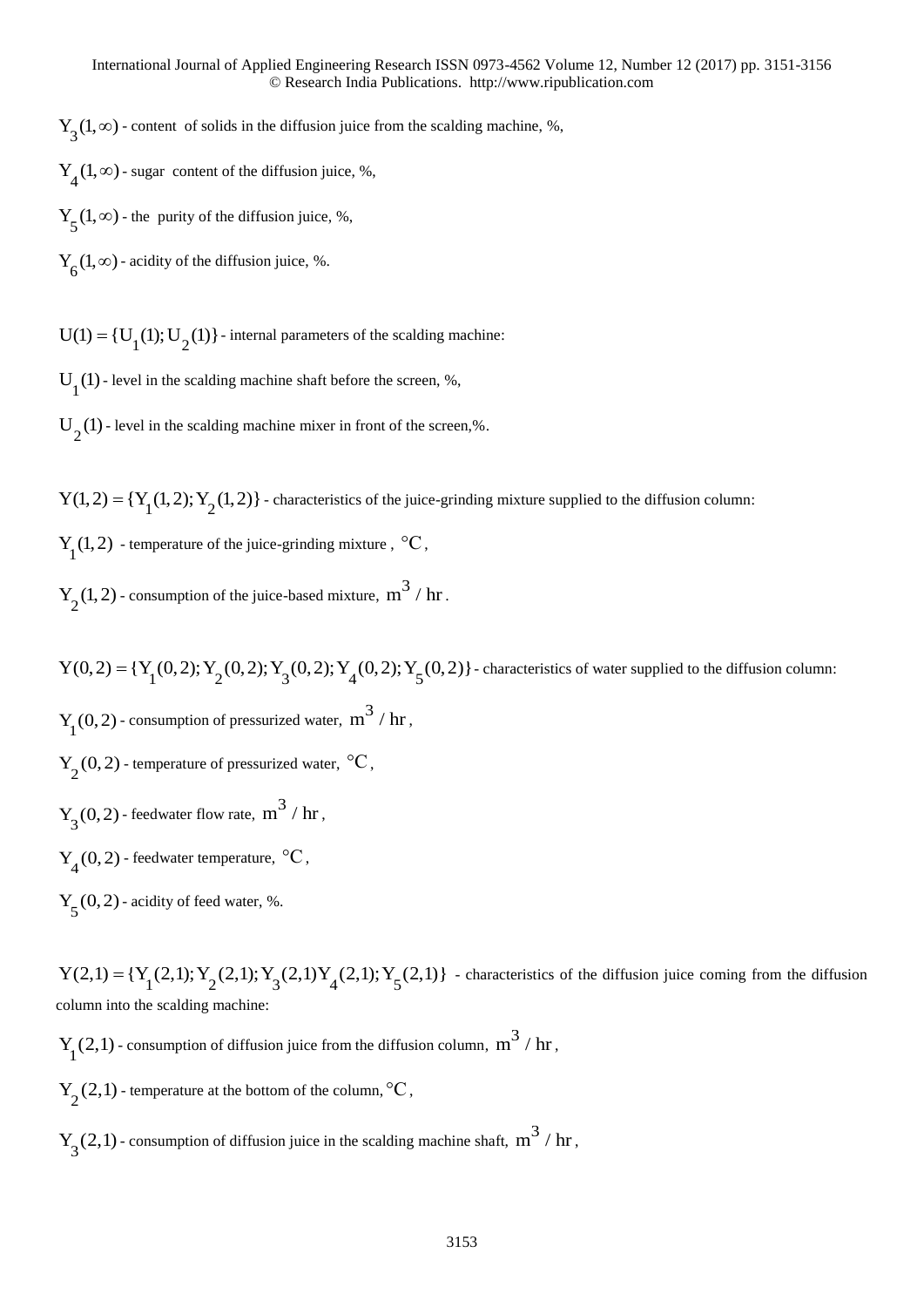$Y_3(1, \infty)$  - content of solids in the diffusion juice from the scalding machine, %,

 $Y_4(1, \infty)$  - sugar content of the diffusion juice, %,

 $Y_5(1, \infty)$  - the purity of the diffusion juice, %,

 $Y_6(1, \infty)$  - acidity of the diffusion juice, %.

 $U(1) = {U_1(1); U_2(1)}$  - internal parameters of the scalding machine:

 $U_1(1)$  - level in the scalding machine shaft before the screen, %,

 $U_2(1)$  - level in the scalding machine mixer in front of the screen,%.

 $Y(1, 2) = {Y_1(1, 2); Y_2(1, 2)}$ - characteristics of the juice-grinding mixture supplied to the diffusion column:

 $Y_1(1, 2)$  - temperature of the juice-grinding mixture,  $\mathrm{C}C$ ,

 $Y_2(1, 2)$  - consumption of the juice-based mixture,  $m^3 / hr$ .

 $Y(0, 2) = {Y_1(0, 2); Y_2(0, 2); Y_3(0, 2); Y_4(0, 2); Y_5(0, 2)}$ - characteristics of water supplied to the diffusion column:  $Y_1(0, 2)$  - consumption of pressurized water,  $m^3 / hr$ ,  $Y_2(0, 2)$  - temperature of pressurized water,  $\mathrm{C}$ ,

 $Y_3(0, 2)$  - feedwater flow rate,  $m^3 / hr$ ,

 $Y_4(0, 2)$  - feedwater temperature,  $\mathrm{C}$ ,

 $Y_5(0, 2)$  - acidity of feed water, %.

 $Y(2,1) = {Y_1(2,1); Y_2(2,1); Y_3(2,1)Y_4(2,1); Y_5(2,1)}$ - characteristics of the diffusion juice coming from the diffusion column into the scalding machine:

 $Y_1(2,1)$  - consumption of diffusion juice from the diffusion column,  $m^3 / hr$ ,

 $Y_2(2,1)$  - temperature at the bottom of the column,  $\mathrm{C}$ ,

 $Y_3(2,1)$  - consumption of diffusion juice in the scalding machine shaft,  $m^3 / hr$ ,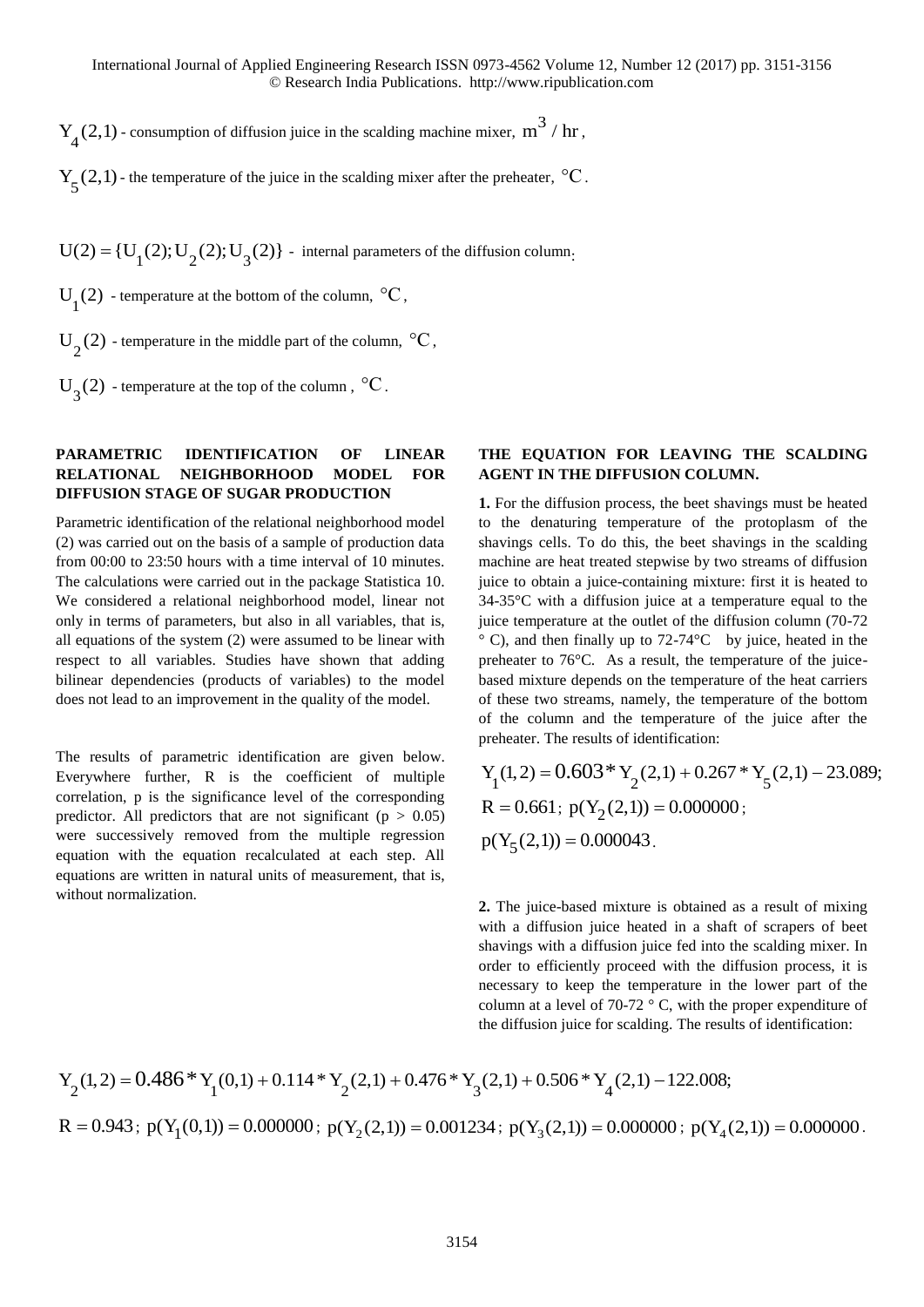$Y_4(2,1)$  - consumption of diffusion juice in the scalding machine mixer,  $m^3 / hr$ ,

 $Y_5(2,1)$  - the temperature of the juice in the scalding mixer after the preheater,  $°C$ .

 $U(2) = {U<sub>1</sub>(2); U<sub>2</sub>(2); U<sub>3</sub>(2)}$  - internal parameters of the diffusion column.

U<sub>1</sub>(2) - temperature at the bottom of the column,  $\mathrm{C}$ ,

 $U_2(2)$  - temperature in the middle part of the column,  $\mathrm{C}_2$ ,

 $U_3(2)$  - temperature at the top of the column,  $\mathrm{^{\circ}C}$ .

## **PARAMETRIC IDENTIFICATION OF LINEAR RELATIONAL NEIGHBORHOOD MODEL FOR DIFFUSION STAGE OF SUGAR PRODUCTION**

Parametric identification of the relational neighborhood model (2) was carried out on the basis of a sample of production data from 00:00 to 23:50 hours with a time interval of 10 minutes. The calculations were carried out in the package Statistica 10. We considered a relational neighborhood model, linear not only in terms of parameters, but also in all variables, that is, all equations of the system (2) were assumed to be linear with respect to all variables. Studies have shown that adding bilinear dependencies (products of variables) to the model does not lead to an improvement in the quality of the model.

The results of parametric identification are given below. Everywhere further, R is the coefficient of multiple correlation, p is the significance level of the corresponding predictor. All predictors that are not significant ( $p > 0.05$ ) were successively removed from the multiple regression equation with the equation recalculated at each step. All equations are written in natural units of measurement, that is, without normalization.

### **THE EQUATION FOR LEAVING THE SCALDING AGENT IN THE DIFFUSION COLUMN.**

**1.** For the diffusion process, the beet shavings must be heated to the denaturing temperature of the protoplasm of the shavings cells. To do this, the beet shavings in the scalding machine are heat treated stepwise by two streams of diffusion juice to obtain a juice-containing mixture: first it is heated to 34-35°C with a diffusion juice at a temperature equal to the juice temperature at the outlet of the diffusion column (70-72 ° C), and then finally up to 72-74°C by juice, heated in the preheater to 76°C. As a result, the temperature of the juicebased mixture depends on the temperature of the heat carriers of these two streams, namely, the temperature of the bottom of the column and the temperature of the juice after the

$$
Y_1(1,2) = 0.603 * Y_2(2,1) + 0.267 * Y_5(2,1) - 23.089;
$$
  
R = 0.661; p(Y<sub>2</sub>(2,1)) = 0.0000000;  
p(Y<sub>5</sub>(2,1)) = 0.000043.

**2.** The juice-based mixture is obtained as a result of mixing with a diffusion juice heated in a shaft of scrapers of beet shavings with a diffusion juice fed into the scalding mixer. In order to efficiently proceed with the diffusion process, it is necessary to keep the temperature in the lower part of the column at a level of 70-72  $\degree$  C, with the proper expenditure of the diffusion juice for scalding. The results of identification:

column at a level of 70-72 °C, with the proper expenditure of the diffusion juice for scaling. The results of identification:  
\n
$$
Y_2(1,2) = 0.486 * Y_1(0,1) + 0.114 * Y_2(2,1) + 0.476 * Y_3(2,1) + 0.506 * Y_4(2,1) - 122.008;
$$
\n
$$
R = 0.943; p(Y_1(0,1)) = 0.000000; p(Y_2(2,1)) = 0.001234; p(Y_3(2,1)) = 0.000000; p(Y_4(2,1)) = 0.000000.
$$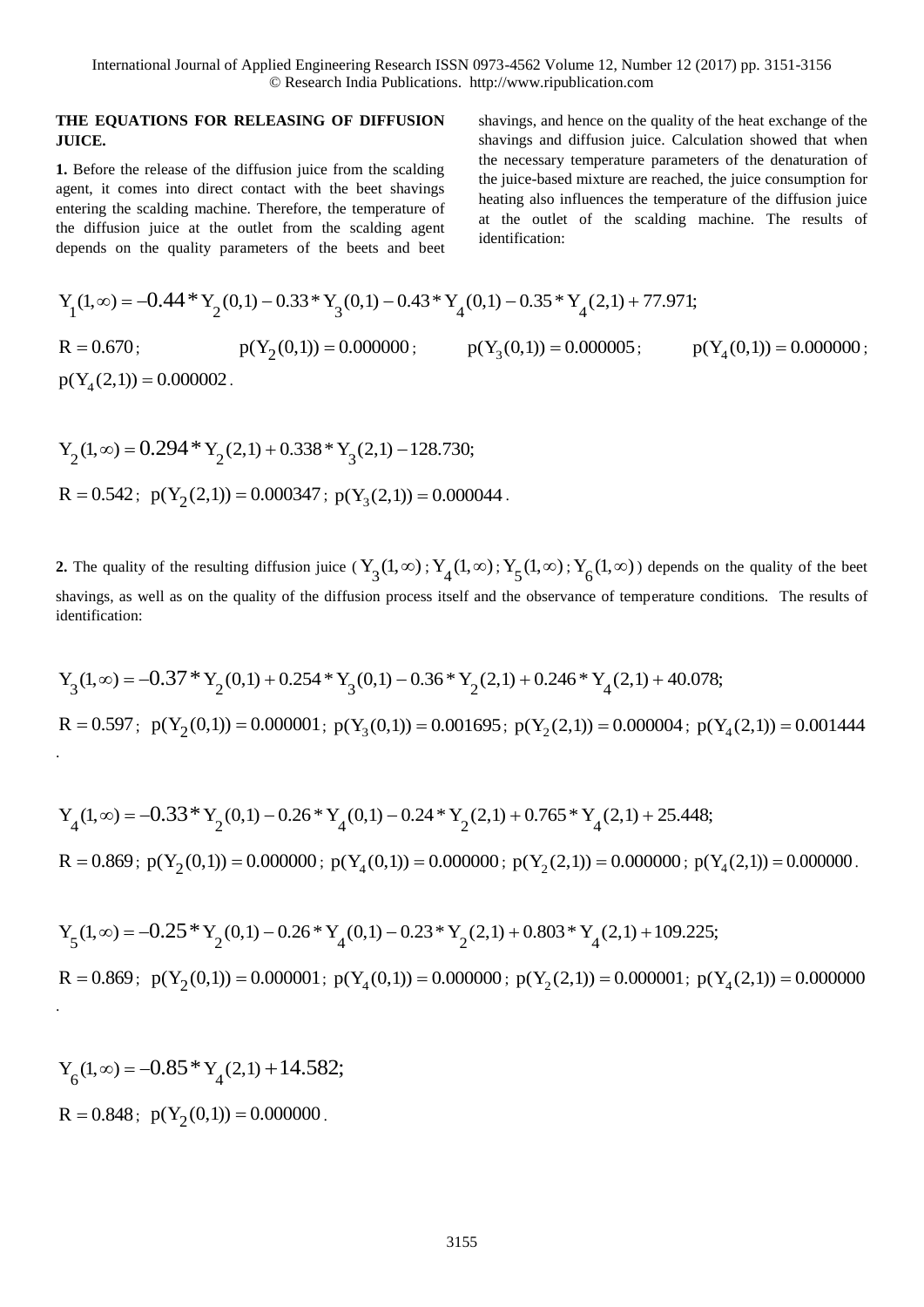### **THE EQUATIONS FOR RELEASING OF DIFFUSION JUICE.**

**1.** Before the release of the diffusion juice from the scalding agent, it comes into direct contact with the beet shavings entering the scalding machine. Therefore, the temperature of the diffusion juice at the outlet from the scalding agent depends on the quality parameters of the beets and beet

shavings, and hence on the quality of the heat exchange of the shavings and diffusion juice. Calculation showed that when the necessary temperature parameters of the denaturation of the juice-based mixture are reached, the juice consumption for heating also influences the temperature of the diffusion juice at the outlet of the scalding machine. The results of identification:

the diffusion juice at the outlet from the scaling agent depends on the quality parameters of the best and bet\n
$$
Y_1(1, \infty) = -0.44 * Y_2(0, 1) - 0.33 * Y_3(0, 1) - 0.43 * Y_4(0, 1) - 0.35 * Y_4(2, 1) + 77.971;
$$
\n
$$
R = 0.670; \qquad p(Y_2(0, 1)) = 0.000000; \qquad p(Y_3(0, 1)) = 0.0000005; \qquad p(Y_4(2, 1)) = 0.0000000;
$$

$$
Y_2(1, \infty) = 0.294 * Y_2(2, 1) + 0.338 * Y_3(2, 1) - 128.730;
$$
  
R = 0.542; p(Y<sub>2</sub>(2, 1)) = 0.000347; p(Y<sub>3</sub>(2, 1)) = 0.000044.

**2.** The quality of the resulting diffusion juice  $(Y_3(1,\infty); Y_4(1,\infty); Y_5(1,\infty); Y_6(1,\infty))$  depends on the quality of the beet identification:

shavings, as well as on the quality of the diffusion process itself and the observance of temperature conditions. The results of identification:  
\n
$$
Y_3(1,\infty) = -0.37 * Y_2(0,1) + 0.254 * Y_3(0,1) - 0.36 * Y_2(2,1) + 0.246 * Y_4(2,1) + 40.078;
$$
\n
$$
R = 0.597; \ p(Y_2(0,1)) = 0.000001; \ p(Y_3(0,1)) = 0.001695; \ p(Y_2(2,1)) = 0.000004; \ p(Y_4(2,1)) = 0.001444.
$$

$$
Y_4(1, \infty) = -0.33 * Y_2(0, 1) - 0.26 * Y_4(0, 1) - 0.24 * Y_2(2, 1) + 0.765 * Y_4(2, 1) + 25.448;
$$
  
\n
$$
R = 0.869; p(Y_2(0, 1)) = 0.000000; p(Y_4(0, 1)) = 0.000000; p(Y_2(2, 1)) = 0.000000; p(Y_4(2, 1)) = 0.000000.
$$

$$
R = 0.869; p(Y_2(0,1)) = 0.000000; p(Y_4(0,1)) = 0.000000; p(Y_2(2,1)) = 0.000000; p(Y_4(2,1)) = 0.000000.
$$
  
\n
$$
Y_5(1,\infty) = -0.25 * Y_2(0,1) - 0.26 * Y_4(0,1) - 0.23 * Y_2(2,1) + 0.803 * Y_4(2,1) + 109.225;
$$
  
\n
$$
R = 0.869; p(Y_2(0,1)) = 0.000001; p(Y_4(0,1)) = 0.000000; p(Y_2(2,1)) = 0.000001; p(Y_4(2,1)) = 0.000000.
$$

$$
Y_6(1, \infty) = -0.85 * Y_4(2, 1) + 14.582;
$$
  
R = 0.848 ; p(Y<sub>2</sub>(0, 1)) = 0.000000.